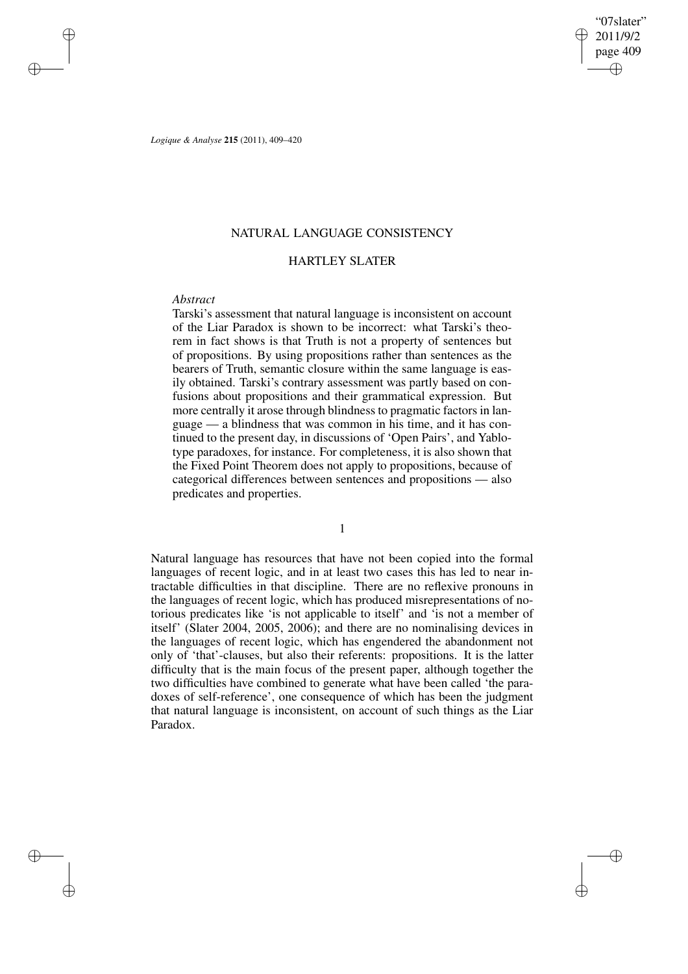✐

✐

*Logique & Analyse* **215** (2011), 409–420

## NATURAL LANGUAGE CONSISTENCY

# HARTLEY SLATER

## *Abstract*

✐

✐

✐

✐

Tarski's assessment that natural language is inconsistent on account of the Liar Paradox is shown to be incorrect: what Tarski's theorem in fact shows is that Truth is not a property of sentences but of propositions. By using propositions rather than sentences as the bearers of Truth, semantic closure within the same language is easily obtained. Tarski's contrary assessment was partly based on confusions about propositions and their grammatical expression. But more centrally it arose through blindness to pragmatic factors in language — a blindness that was common in his time, and it has continued to the present day, in discussions of 'Open Pairs', and Yablotype paradoxes, for instance. For completeness, it is also shown that the Fixed Point Theorem does not apply to propositions, because of categorical differences between sentences and propositions — also predicates and properties.

1

Natural language has resources that have not been copied into the formal languages of recent logic, and in at least two cases this has led to near intractable difficulties in that discipline. There are no reflexive pronouns in the languages of recent logic, which has produced misrepresentations of notorious predicates like 'is not applicable to itself' and 'is not a member of itself' (Slater 2004, 2005, 2006); and there are no nominalising devices in the languages of recent logic, which has engendered the abandonment not only of 'that'-clauses, but also their referents: propositions. It is the latter difficulty that is the main focus of the present paper, although together the two difficulties have combined to generate what have been called 'the paradoxes of self-reference', one consequence of which has been the judgment that natural language is inconsistent, on account of such things as the Liar Paradox.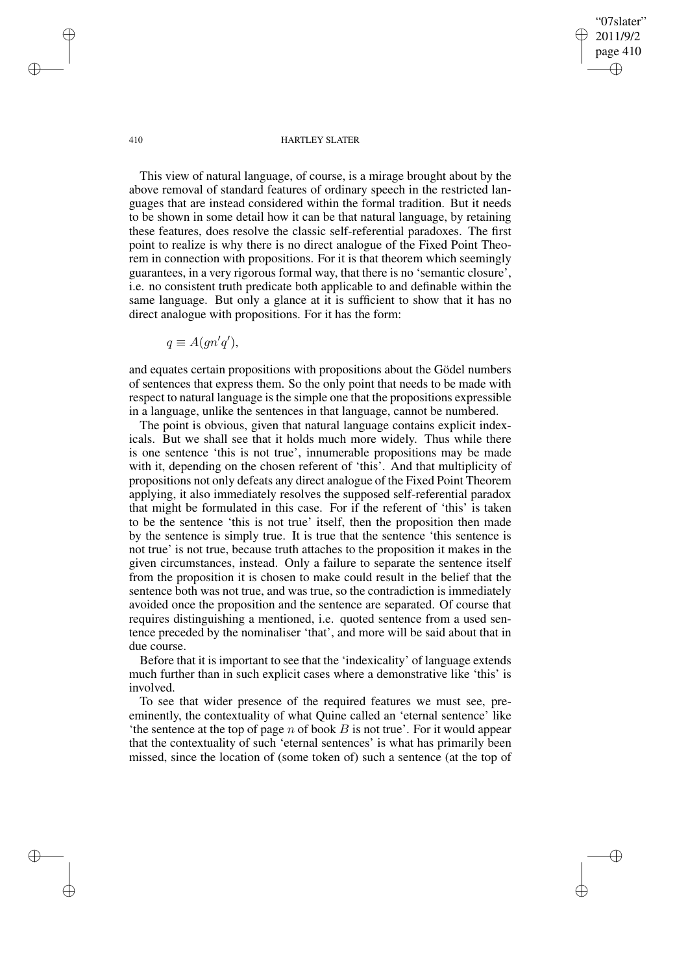"07slater" 2011/9/2 page 410 ✐ ✐

✐

✐

#### 410 HARTLEY SLATER

This view of natural language, of course, is a mirage brought about by the above removal of standard features of ordinary speech in the restricted languages that are instead considered within the formal tradition. But it needs to be shown in some detail how it can be that natural language, by retaining these features, does resolve the classic self-referential paradoxes. The first point to realize is why there is no direct analogue of the Fixed Point Theorem in connection with propositions. For it is that theorem which seemingly guarantees, in a very rigorous formal way, that there is no 'semantic closure', i.e. no consistent truth predicate both applicable to and definable within the same language. But only a glance at it is sufficient to show that it has no direct analogue with propositions. For it has the form:

$$
q \equiv A(gn'q'),
$$

and equates certain propositions with propositions about the Gödel numbers of sentences that express them. So the only point that needs to be made with respect to natural language is the simple one that the propositions expressible in a language, unlike the sentences in that language, cannot be numbered.

The point is obvious, given that natural language contains explicit indexicals. But we shall see that it holds much more widely. Thus while there is one sentence 'this is not true', innumerable propositions may be made with it, depending on the chosen referent of 'this'. And that multiplicity of propositions not only defeats any direct analogue of the Fixed Point Theorem applying, it also immediately resolves the supposed self-referential paradox that might be formulated in this case. For if the referent of 'this' is taken to be the sentence 'this is not true' itself, then the proposition then made by the sentence is simply true. It is true that the sentence 'this sentence is not true' is not true, because truth attaches to the proposition it makes in the given circumstances, instead. Only a failure to separate the sentence itself from the proposition it is chosen to make could result in the belief that the sentence both was not true, and was true, so the contradiction is immediately avoided once the proposition and the sentence are separated. Of course that requires distinguishing a mentioned, i.e. quoted sentence from a used sentence preceded by the nominaliser 'that', and more will be said about that in due course.

Before that it is important to see that the 'indexicality' of language extends much further than in such explicit cases where a demonstrative like 'this' is involved.

To see that wider presence of the required features we must see, preeminently, the contextuality of what Quine called an 'eternal sentence' like 'the sentence at the top of page n of book  $B$  is not true'. For it would appear that the contextuality of such 'eternal sentences' is what has primarily been missed, since the location of (some token of) such a sentence (at the top of

✐

✐

✐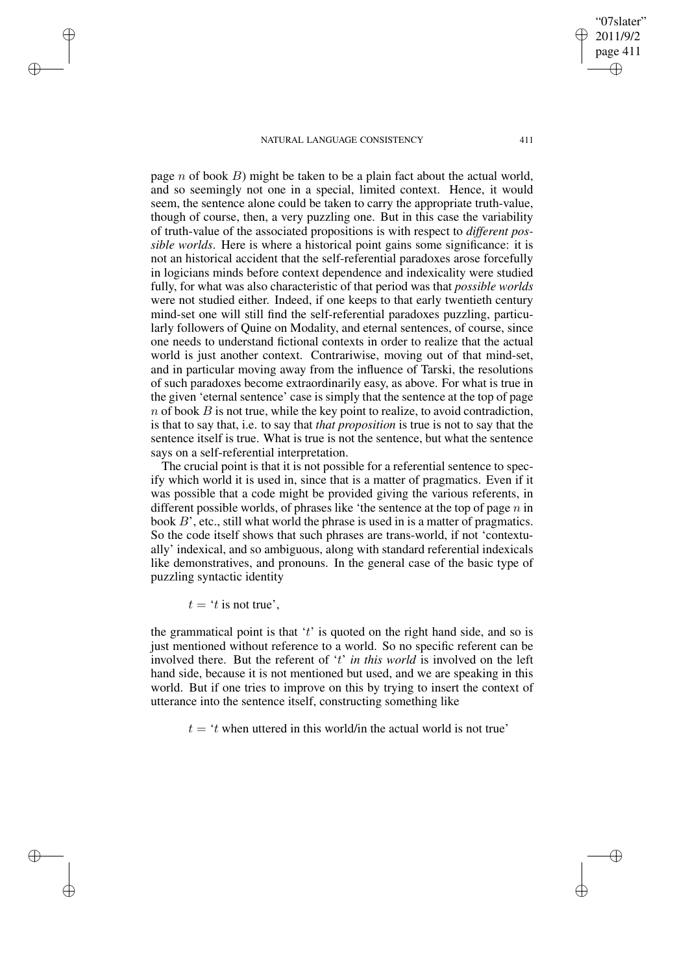page n of book  $B$ ) might be taken to be a plain fact about the actual world, and so seemingly not one in a special, limited context. Hence, it would seem, the sentence alone could be taken to carry the appropriate truth-value, though of course, then, a very puzzling one. But in this case the variability of truth-value of the associated propositions is with respect to *different possible worlds*. Here is where a historical point gains some significance: it is not an historical accident that the self-referential paradoxes arose forcefully in logicians minds before context dependence and indexicality were studied fully, for what was also characteristic of that period was that *possible worlds* were not studied either. Indeed, if one keeps to that early twentieth century mind-set one will still find the self-referential paradoxes puzzling, particularly followers of Quine on Modality, and eternal sentences, of course, since one needs to understand fictional contexts in order to realize that the actual world is just another context. Contrariwise, moving out of that mind-set, and in particular moving away from the influence of Tarski, the resolutions of such paradoxes become extraordinarily easy, as above. For what is true in the given 'eternal sentence' case is simply that the sentence at the top of page  $n$  of book  $B$  is not true, while the key point to realize, to avoid contradiction, is that to say that, i.e. to say that *that proposition* is true is not to say that the sentence itself is true. What is true is not the sentence, but what the sentence says on a self-referential interpretation.

The crucial point is that it is not possible for a referential sentence to specify which world it is used in, since that is a matter of pragmatics. Even if it was possible that a code might be provided giving the various referents, in different possible worlds, of phrases like 'the sentence at the top of page  $n$  in book B', etc., still what world the phrase is used in is a matter of pragmatics. So the code itself shows that such phrases are trans-world, if not 'contextually' indexical, and so ambiguous, along with standard referential indexicals like demonstratives, and pronouns. In the general case of the basic type of puzzling syntactic identity

 $t = 't$  is not true'.

✐

✐

✐

✐

the grammatical point is that  $t<sup>i</sup>$  is quoted on the right hand side, and so is just mentioned without reference to a world. So no specific referent can be involved there. But the referent of 't' *in this world* is involved on the left hand side, because it is not mentioned but used, and we are speaking in this world. But if one tries to improve on this by trying to insert the context of utterance into the sentence itself, constructing something like

 $t = 't$  when uttered in this world/in the actual world is not true'

"07slater" 2011/9/2 page 411

✐

✐

✐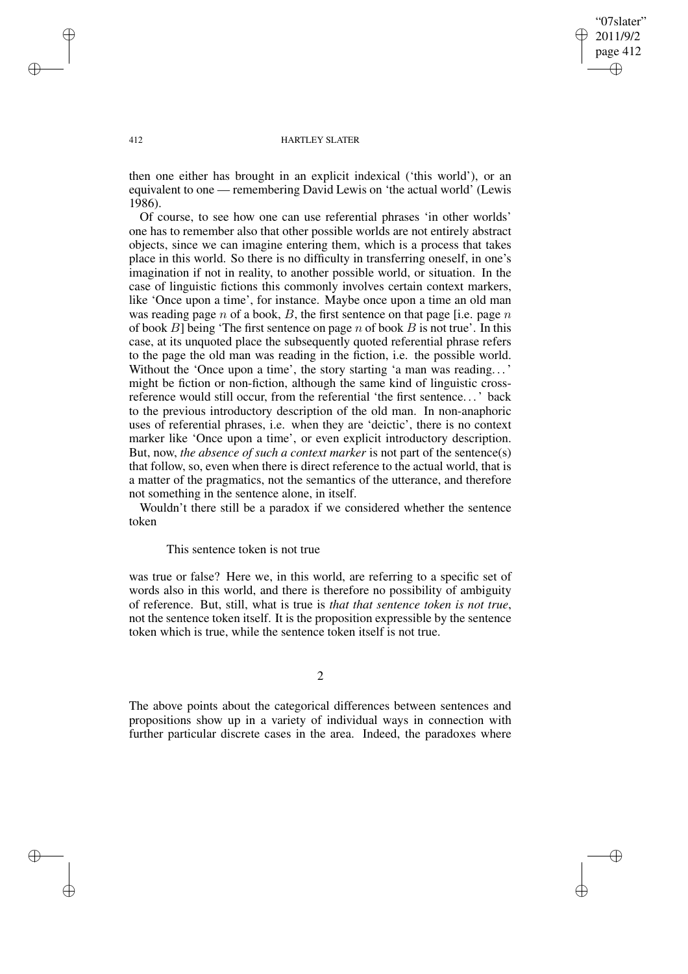## "07slater" 2011/9/2 page 412 ✐ ✐

✐

✐

#### 412 HARTLEY SLATER

then one either has brought in an explicit indexical ('this world'), or an equivalent to one — remembering David Lewis on 'the actual world' (Lewis 1986).

Of course, to see how one can use referential phrases 'in other worlds' one has to remember also that other possible worlds are not entirely abstract objects, since we can imagine entering them, which is a process that takes place in this world. So there is no difficulty in transferring oneself, in one's imagination if not in reality, to another possible world, or situation. In the case of linguistic fictions this commonly involves certain context markers, like 'Once upon a time', for instance. Maybe once upon a time an old man was reading page n of a book,  $B$ , the first sentence on that page [i.e. page n of book  $B$ ] being 'The first sentence on page n of book  $B$  is not true'. In this case, at its unquoted place the subsequently quoted referential phrase refers to the page the old man was reading in the fiction, i.e. the possible world. Without the 'Once upon a time', the story starting 'a man was reading...' might be fiction or non-fiction, although the same kind of linguistic crossreference would still occur, from the referential 'the first sentence. . .' back to the previous introductory description of the old man. In non-anaphoric uses of referential phrases, i.e. when they are 'deictic', there is no context marker like 'Once upon a time', or even explicit introductory description. But, now, *the absence of such a context marker* is not part of the sentence(s) that follow, so, even when there is direct reference to the actual world, that is a matter of the pragmatics, not the semantics of the utterance, and therefore not something in the sentence alone, in itself.

Wouldn't there still be a paradox if we considered whether the sentence token

This sentence token is not true

was true or false? Here we, in this world, are referring to a specific set of words also in this world, and there is therefore no possibility of ambiguity of reference. But, still, what is true is *that that sentence token is not true*, not the sentence token itself. It is the proposition expressible by the sentence token which is true, while the sentence token itself is not true.

2

The above points about the categorical differences between sentences and propositions show up in a variety of individual ways in connection with further particular discrete cases in the area. Indeed, the paradoxes where

✐

✐

✐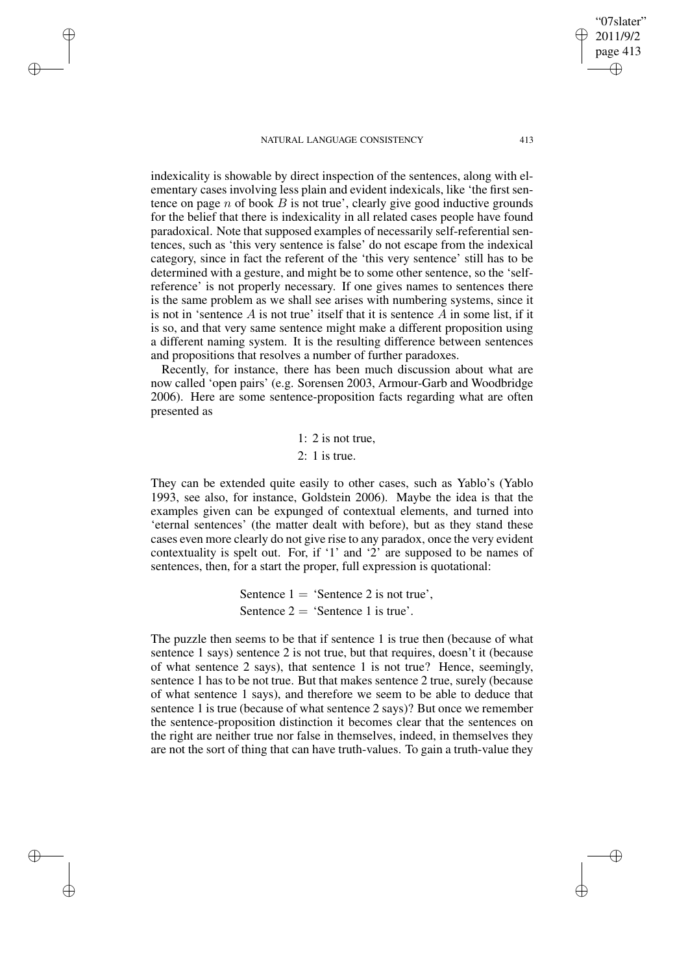✐

✐

✐

✐

indexicality is showable by direct inspection of the sentences, along with elementary cases involving less plain and evident indexicals, like 'the first sentence on page  $n$  of book  $B$  is not true', clearly give good inductive grounds for the belief that there is indexicality in all related cases people have found paradoxical. Note that supposed examples of necessarily self-referential sentences, such as 'this very sentence is false' do not escape from the indexical category, since in fact the referent of the 'this very sentence' still has to be determined with a gesture, and might be to some other sentence, so the 'selfreference' is not properly necessary. If one gives names to sentences there is the same problem as we shall see arises with numbering systems, since it is not in 'sentence  $A$  is not true' itself that it is sentence  $A$  in some list, if it is so, and that very same sentence might make a different proposition using

and propositions that resolves a number of further paradoxes. Recently, for instance, there has been much discussion about what are now called 'open pairs' (e.g. Sorensen 2003, Armour-Garb and Woodbridge 2006). Here are some sentence-proposition facts regarding what are often presented as

a different naming system. It is the resulting difference between sentences

1: 2 is not true, 2: 1 is true.

They can be extended quite easily to other cases, such as Yablo's (Yablo 1993, see also, for instance, Goldstein 2006). Maybe the idea is that the examples given can be expunged of contextual elements, and turned into 'eternal sentences' (the matter dealt with before), but as they stand these cases even more clearly do not give rise to any paradox, once the very evident contextuality is spelt out. For, if '1' and '2' are supposed to be names of sentences, then, for a start the proper, full expression is quotational:

> Sentence  $1 = ' \text{Sentence } 2 \text{ is not true'},$ Sentence  $2 = 'S$ entence 1 is true'.

The puzzle then seems to be that if sentence 1 is true then (because of what sentence 1 says) sentence 2 is not true, but that requires, doesn't it (because of what sentence 2 says), that sentence 1 is not true? Hence, seemingly, sentence 1 has to be not true. But that makes sentence 2 true, surely (because of what sentence 1 says), and therefore we seem to be able to deduce that sentence 1 is true (because of what sentence 2 says)? But once we remember the sentence-proposition distinction it becomes clear that the sentences on the right are neither true nor false in themselves, indeed, in themselves they are not the sort of thing that can have truth-values. To gain a truth-value they

"07slater" 2011/9/2 page 413

✐

✐

✐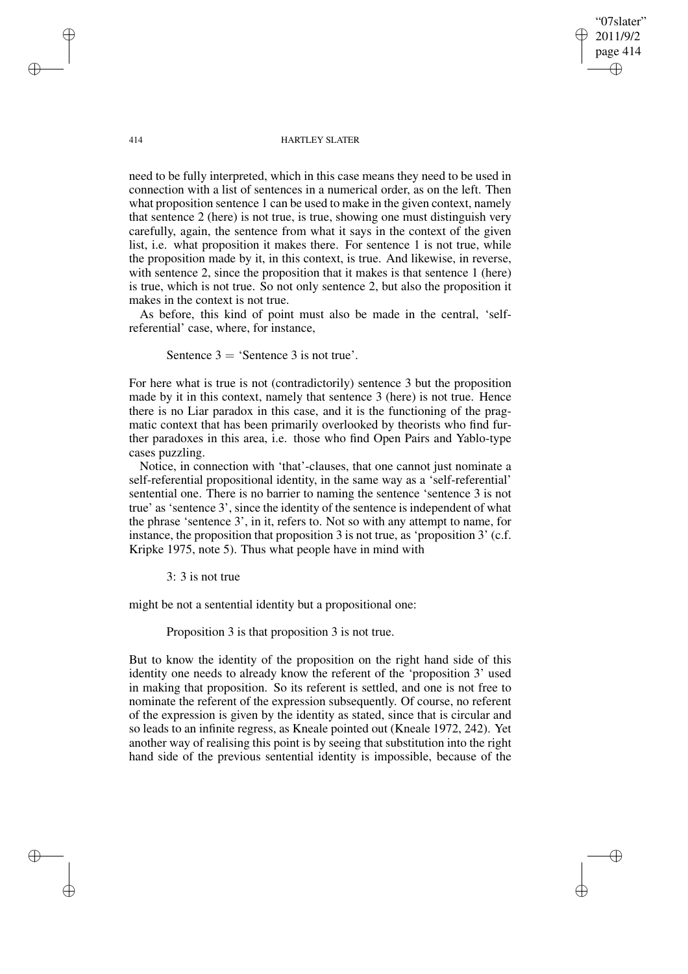414 HARTLEY SLATER

"07slater" 2011/9/2 page 414

✐

✐

✐

✐

need to be fully interpreted, which in this case means they need to be used in connection with a list of sentences in a numerical order, as on the left. Then what proposition sentence 1 can be used to make in the given context, namely that sentence 2 (here) is not true, is true, showing one must distinguish very carefully, again, the sentence from what it says in the context of the given list, i.e. what proposition it makes there. For sentence 1 is not true, while the proposition made by it, in this context, is true. And likewise, in reverse, with sentence 2, since the proposition that it makes is that sentence 1 (here) is true, which is not true. So not only sentence 2, but also the proposition it makes in the context is not true.

As before, this kind of point must also be made in the central, 'selfreferential' case, where, for instance,

Sentence  $3 = 'S$ entence 3 is not true'.

For here what is true is not (contradictorily) sentence 3 but the proposition made by it in this context, namely that sentence 3 (here) is not true. Hence there is no Liar paradox in this case, and it is the functioning of the pragmatic context that has been primarily overlooked by theorists who find further paradoxes in this area, i.e. those who find Open Pairs and Yablo-type cases puzzling.

Notice, in connection with 'that'-clauses, that one cannot just nominate a self-referential propositional identity, in the same way as a 'self-referential' sentential one. There is no barrier to naming the sentence 'sentence 3 is not true' as 'sentence 3', since the identity of the sentence is independent of what the phrase 'sentence 3', in it, refers to. Not so with any attempt to name, for instance, the proposition that proposition 3 is not true, as 'proposition 3' (c.f. Kripke 1975, note 5). Thus what people have in mind with

3: 3 is not true

might be not a sentential identity but a propositional one:

Proposition 3 is that proposition 3 is not true.

But to know the identity of the proposition on the right hand side of this identity one needs to already know the referent of the 'proposition 3' used in making that proposition. So its referent is settled, and one is not free to nominate the referent of the expression subsequently. Of course, no referent of the expression is given by the identity as stated, since that is circular and so leads to an infinite regress, as Kneale pointed out (Kneale 1972, 242). Yet another way of realising this point is by seeing that substitution into the right hand side of the previous sentential identity is impossible, because of the

✐

✐

✐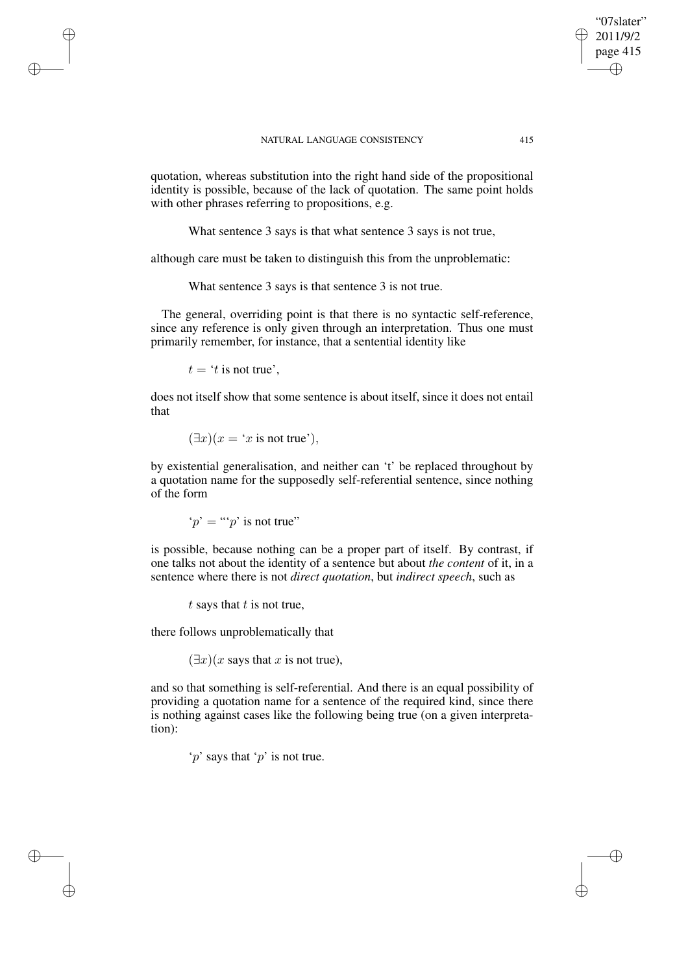quotation, whereas substitution into the right hand side of the propositional identity is possible, because of the lack of quotation. The same point holds with other phrases referring to propositions, e.g.

What sentence 3 says is that what sentence 3 says is not true,

although care must be taken to distinguish this from the unproblematic:

What sentence 3 says is that sentence 3 is not true.

The general, overriding point is that there is no syntactic self-reference, since any reference is only given through an interpretation. Thus one must primarily remember, for instance, that a sentential identity like

 $t = 't$  is not true',

✐

✐

✐

✐

does not itself show that some sentence is about itself, since it does not entail that

$$
(\exists x)(x = 'x \text{ is not true'}),
$$

by existential generalisation, and neither can 't' be replaced throughout by a quotation name for the supposedly self-referential sentence, since nothing of the form

$$
'p' = "p'
$$
 is not true"

is possible, because nothing can be a proper part of itself. By contrast, if one talks not about the identity of a sentence but about *the content* of it, in a sentence where there is not *direct quotation*, but *indirect speech*, such as

 $t$  says that  $t$  is not true,

there follows unproblematically that

 $(\exists x)(x$  says that x is not true),

and so that something is self-referential. And there is an equal possibility of providing a quotation name for a sentence of the required kind, since there is nothing against cases like the following being true (on a given interpretation):

 $\gamma$ ' says that  $\gamma$ ' is not true.

"07slater" 2011/9/2 page 415

✐

✐

✐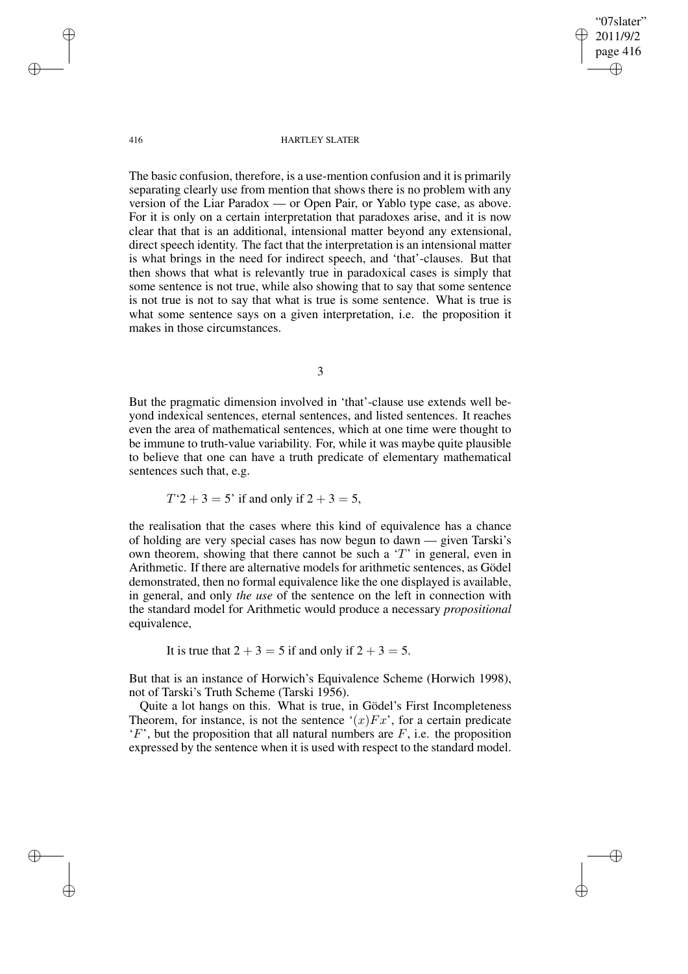"07slater" 2011/9/2 page 416 ✐ ✐

✐

✐

#### 416 HARTLEY SLATER

The basic confusion, therefore, is a use-mention confusion and it is primarily separating clearly use from mention that shows there is no problem with any version of the Liar Paradox — or Open Pair, or Yablo type case, as above. For it is only on a certain interpretation that paradoxes arise, and it is now clear that that is an additional, intensional matter beyond any extensional, direct speech identity. The fact that the interpretation is an intensional matter is what brings in the need for indirect speech, and 'that'-clauses. But that then shows that what is relevantly true in paradoxical cases is simply that some sentence is not true, while also showing that to say that some sentence is not true is not to say that what is true is some sentence. What is true is what some sentence says on a given interpretation, i.e. the proposition it makes in those circumstances.

3

But the pragmatic dimension involved in 'that'-clause use extends well beyond indexical sentences, eternal sentences, and listed sentences. It reaches even the area of mathematical sentences, which at one time were thought to be immune to truth-value variability. For, while it was maybe quite plausible to believe that one can have a truth predicate of elementary mathematical sentences such that, e.g.

 $T'2 + 3 = 5'$  if and only if  $2 + 3 = 5$ ,

the realisation that the cases where this kind of equivalence has a chance of holding are very special cases has now begun to dawn — given Tarski's own theorem, showing that there cannot be such a  $T'$  in general, even in Arithmetic. If there are alternative models for arithmetic sentences, as Gödel demonstrated, then no formal equivalence like the one displayed is available, in general, and only *the use* of the sentence on the left in connection with the standard model for Arithmetic would produce a necessary *propositional* equivalence,

It is true that  $2 + 3 = 5$  if and only if  $2 + 3 = 5$ .

But that is an instance of Horwich's Equivalence Scheme (Horwich 1998), not of Tarski's Truth Scheme (Tarski 1956).

Quite a lot hangs on this. What is true, in Gödel's First Incompleteness Theorem, for instance, is not the sentence  $\hat{f}(x)Fx^x$ , for a certain predicate  $F'$ , but the proposition that all natural numbers are  $F$ , i.e. the proposition expressed by the sentence when it is used with respect to the standard model.

✐

✐

✐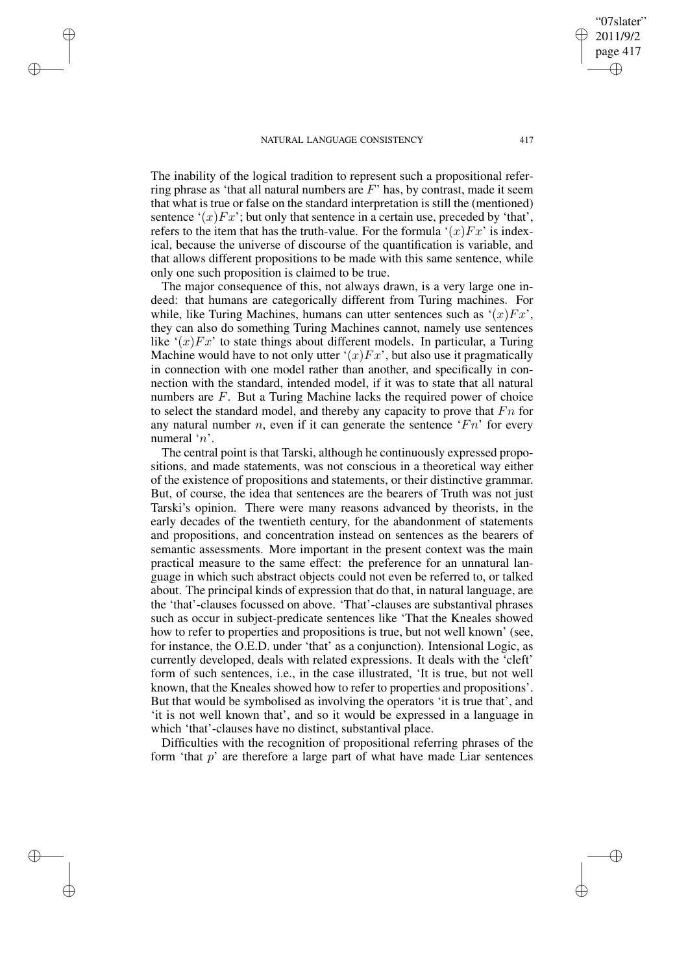✐

✐

✐

✐

The inability of the logical tradition to represent such a propositional referring phrase as 'that all natural numbers are  $F$ ' has, by contrast, made it seem that what is true or false on the standard interpretation is still the (mentioned) sentence ' $(x)Fx'$ ; but only that sentence in a certain use, preceded by 'that', refers to the item that has the truth-value. For the formula  $(x)Fx'$  is indexical, because the universe of discourse of the quantification is variable, and that allows different propositions to be made with this same sentence, while

only one such proposition is claimed to be true. The major consequence of this, not always drawn, is a very large one indeed: that humans are categorically different from Turing machines. For while, like Turing Machines, humans can utter sentences such as  $(x)Fx'$ . they can also do something Turing Machines cannot, namely use sentences like  $'(x)Fx'$  to state things about different models. In particular, a Turing Machine would have to not only utter ' $(x)Fx'$ , but also use it pragmatically in connection with one model rather than another, and specifically in connection with the standard, intended model, if it was to state that all natural numbers are F. But a Turing Machine lacks the required power of choice to select the standard model, and thereby any capacity to prove that  $Fn$  for any natural number n, even if it can generate the sentence ' $Fn$ ' for every numeral 'n'.

The central point is that Tarski, although he continuously expressed propositions, and made statements, was not conscious in a theoretical way either of the existence of propositions and statements, or their distinctive grammar. But, of course, the idea that sentences are the bearers of Truth was not just Tarski's opinion. There were many reasons advanced by theorists, in the early decades of the twentieth century, for the abandonment of statements and propositions, and concentration instead on sentences as the bearers of semantic assessments. More important in the present context was the main practical measure to the same effect: the preference for an unnatural language in which such abstract objects could not even be referred to, or talked about. The principal kinds of expression that do that, in natural language, are the 'that'-clauses focussed on above. 'That'-clauses are substantival phrases such as occur in subject-predicate sentences like 'That the Kneales showed how to refer to properties and propositions is true, but not well known' (see, for instance, the O.E.D. under 'that' as a conjunction). Intensional Logic, as currently developed, deals with related expressions. It deals with the 'cleft' form of such sentences, i.e., in the case illustrated, 'It is true, but not well known, that the Kneales showed how to refer to properties and propositions'. But that would be symbolised as involving the operators 'it is true that', and 'it is not well known that', and so it would be expressed in a language in which 'that'-clauses have no distinct, substantival place.

Difficulties with the recognition of propositional referring phrases of the form 'that  $p$ ' are therefore a large part of what have made Liar sentences

✐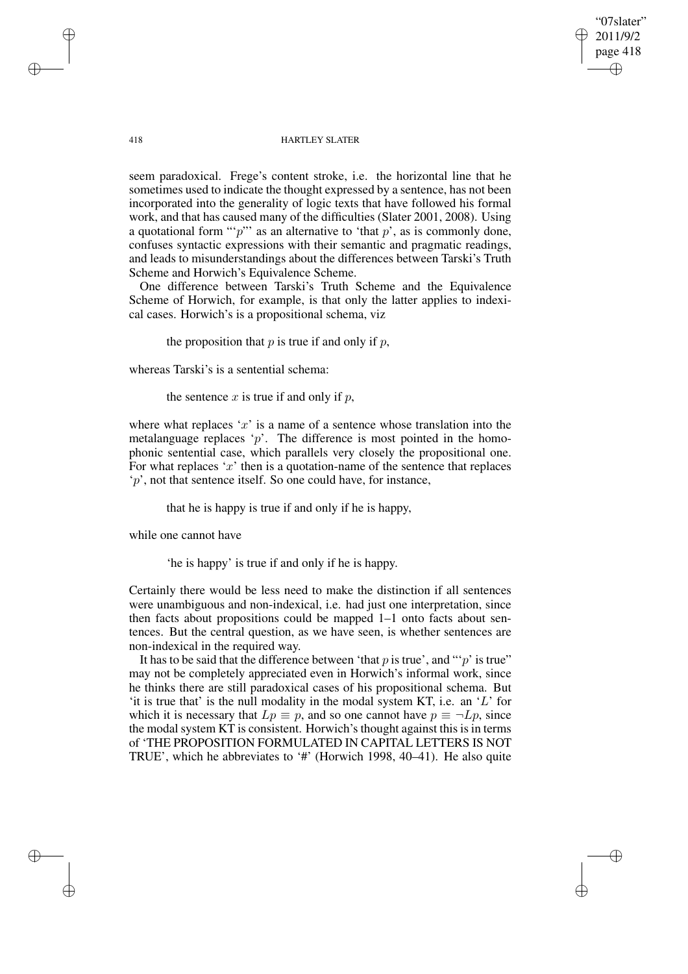"07slater" 2011/9/2 page 418 ✐ ✐

✐

✐

#### 418 HARTLEY SLATER

seem paradoxical. Frege's content stroke, i.e. the horizontal line that he sometimes used to indicate the thought expressed by a sentence, has not been incorporated into the generality of logic texts that have followed his formal work, and that has caused many of the difficulties (Slater 2001, 2008). Using a quotational form "'p'" as an alternative to 'that  $p$ ', as is commonly done, confuses syntactic expressions with their semantic and pragmatic readings, and leads to misunderstandings about the differences between Tarski's Truth Scheme and Horwich's Equivalence Scheme.

One difference between Tarski's Truth Scheme and the Equivalence Scheme of Horwich, for example, is that only the latter applies to indexical cases. Horwich's is a propositional schema, viz

the proposition that  $p$  is true if and only if  $p$ ,

whereas Tarski's is a sentential schema:

the sentence  $x$  is true if and only if  $p$ ,

where what replaces 'x' is a name of a sentence whose translation into the metalanguage replaces  $p$ . The difference is most pointed in the homophonic sentential case, which parallels very closely the propositional one. For what replaces  $x'$  then is a quotation-name of the sentence that replaces 'p', not that sentence itself. So one could have, for instance,

that he is happy is true if and only if he is happy,

while one cannot have

'he is happy' is true if and only if he is happy.

Certainly there would be less need to make the distinction if all sentences were unambiguous and non-indexical, i.e. had just one interpretation, since then facts about propositions could be mapped 1–1 onto facts about sentences. But the central question, as we have seen, is whether sentences are non-indexical in the required way.

It has to be said that the difference between 'that  $p$  is true', and "' $p$ ' is true" may not be completely appreciated even in Horwich's informal work, since he thinks there are still paradoxical cases of his propositional schema. But 'it is true that' is the null modality in the modal system KT, i.e. an 'L' for which it is necessary that  $Lp \equiv p$ , and so one cannot have  $p \equiv \neg Lp$ , since the modal system KT is consistent. Horwich's thought against this is in terms of 'THE PROPOSITION FORMULATED IN CAPITAL LETTERS IS NOT TRUE', which he abbreviates to '#' (Horwich 1998, 40–41). He also quite

✐

✐

✐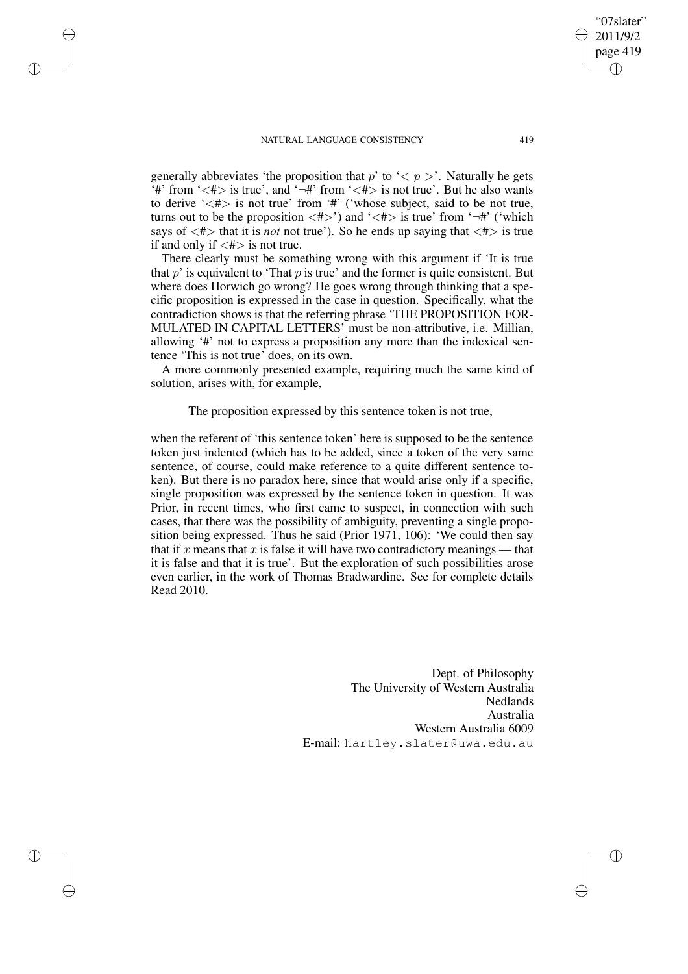✐

✐

✐

✐

generally abbreviates 'the proposition that p' to ' $\lt p$  >'. Naturally he gets '#' from ' $\langle$ # $\rangle$  is true', and '¬#' from ' $\langle$ # $\rangle$  is not true'. But he also wants to derive  $\langle \langle # \rangle$  is not true' from  $\langle # \rangle$  ( $\langle$  whose subject, said to be not true, turns out to be the proposition  $\langle # \rangle$  and  $\langle # \rangle$  is true' from  $\langle \neg # \rangle$  ('which says of  $\langle # \rangle$  that it is *not* not true'). So he ends up saying that  $\langle # \rangle$  is true if and only if  $\langle # \rangle$  is not true.

There clearly must be something wrong with this argument if 'It is true that  $p'$  is equivalent to 'That  $p$  is true' and the former is quite consistent. But where does Horwich go wrong? He goes wrong through thinking that a specific proposition is expressed in the case in question. Specifically, what the contradiction shows is that the referring phrase 'THE PROPOSITION FOR-MULATED IN CAPITAL LETTERS' must be non-attributive, i.e. Millian, allowing '#' not to express a proposition any more than the indexical sentence 'This is not true' does, on its own.

A more commonly presented example, requiring much the same kind of solution, arises with, for example,

The proposition expressed by this sentence token is not true,

when the referent of 'this sentence token' here is supposed to be the sentence token just indented (which has to be added, since a token of the very same sentence, of course, could make reference to a quite different sentence token). But there is no paradox here, since that would arise only if a specific, single proposition was expressed by the sentence token in question. It was Prior, in recent times, who first came to suspect, in connection with such cases, that there was the possibility of ambiguity, preventing a single proposition being expressed. Thus he said (Prior 1971, 106): 'We could then say that if x means that x is false it will have two contradictory meanings — that it is false and that it is true'. But the exploration of such possibilities arose even earlier, in the work of Thomas Bradwardine. See for complete details Read 2010.

> Dept. of Philosophy The University of Western Australia Nedlands Australia Western Australia 6009 E-mail: hartley.slater@uwa.edu.au

"07slater" 2011/9/2 page 419

✐

✐

✐